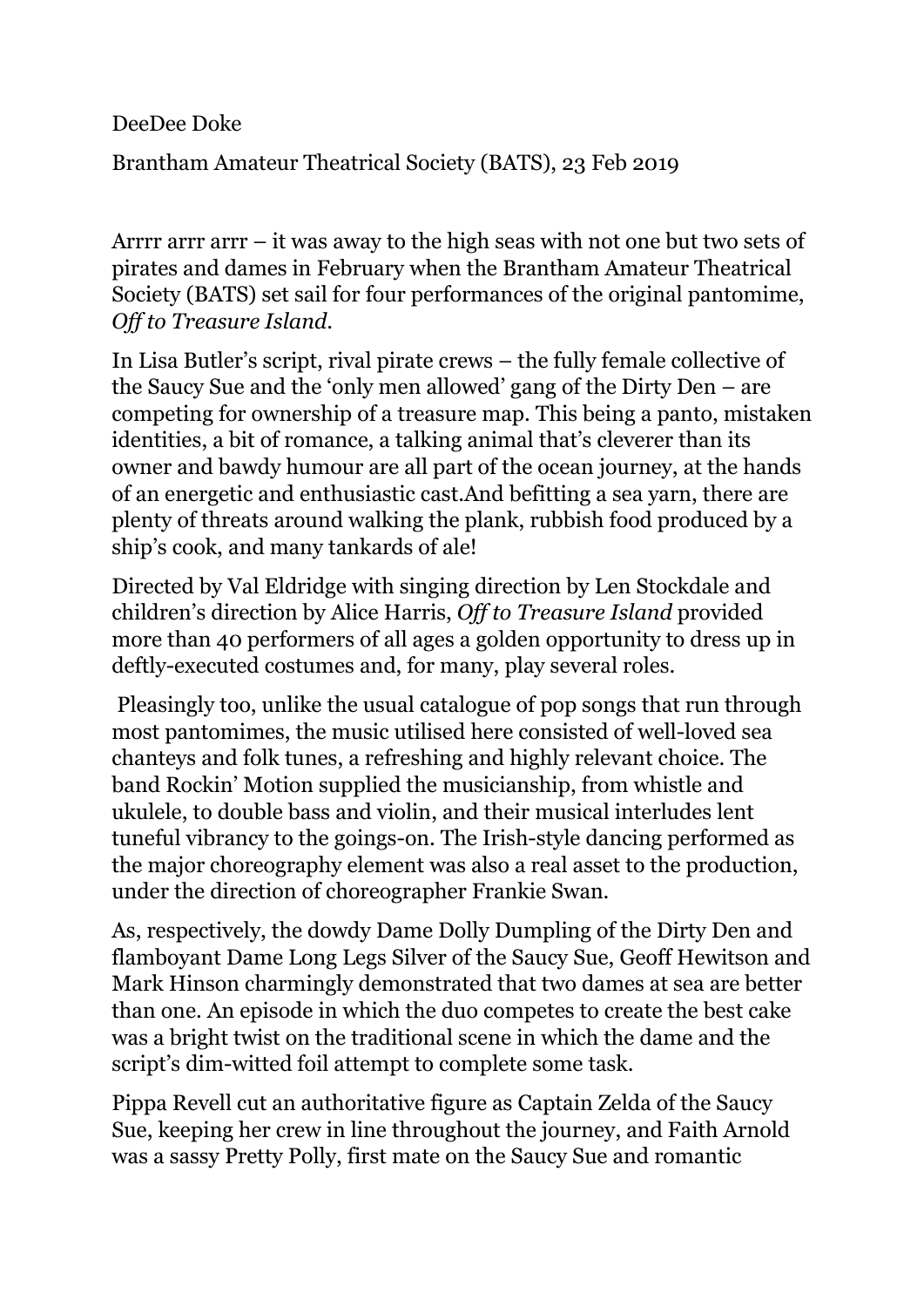DeeDee Doke

Brantham Amateur Theatrical Society (BATS), 23 Feb 2019

Arrrr arrr arrr – it was away to the high seas with not one but two sets of pirates and dames in February when the Brantham Amateur Theatrical Society (BATS) set sail for four performances of the original pantomime, *Off to Treasure Island*.

In Lisa Butler's script, rival pirate crews – the fully female collective of the Saucy Sue and the 'only men allowed' gang of the Dirty Den – are competing for ownership of a treasure map. This being a panto, mistaken identities, a bit of romance, a talking animal that's cleverer than its owner and bawdy humour are all part of the ocean journey, at the hands of an energetic and enthusiastic cast.And befitting a sea yarn, there are plenty of threats around walking the plank, rubbish food produced by a ship's cook, and many tankards of ale!

Directed by Val Eldridge with singing direction by Len Stockdale and children's direction by Alice Harris, *Off to Treasure Island* provided more than 40 performers of all ages a golden opportunity to dress up in deftly-executed costumes and, for many, play several roles.

Pleasingly too, unlike the usual catalogue of pop songs that run through most pantomimes, the music utilised here consisted of well-loved sea chanteys and folk tunes, a refreshing and highly relevant choice. The band Rockin' Motion supplied the musicianship, from whistle and ukulele, to double bass and violin, and their musical interludes lent tuneful vibrancy to the goings-on. The Irish-style dancing performed as the major choreography element was also a real asset to the production, under the direction of choreographer Frankie Swan.

As, respectively, the dowdy Dame Dolly Dumpling of the Dirty Den and flamboyant Dame Long Legs Silver of the Saucy Sue, Geoff Hewitson and Mark Hinson charmingly demonstrated that two dames at sea are better than one. An episode in which the duo competes to create the best cake was a bright twist on the traditional scene in which the dame and the script's dim-witted foil attempt to complete some task.

Pippa Revell cut an authoritative figure as Captain Zelda of the Saucy Sue, keeping her crew in line throughout the journey, and Faith Arnold was a sassy Pretty Polly, first mate on the Saucy Sue and romantic